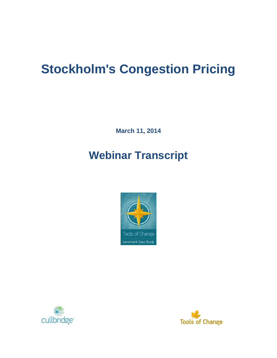# **Stockholm's Congestion Pricing**

**March 11, 2014**

## **Webinar Transcript**





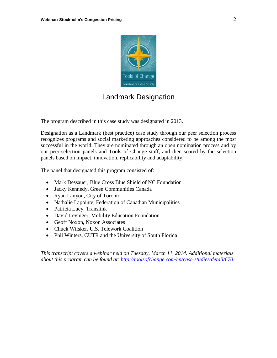

### Landmark Designation

The program described in this case study was designated in 2013.

Designation as a Landmark (best practice) case study through our peer selection process recognizes programs and social marketing approaches considered to be among the most successful in the world. They are nominated through an open nomination process and by our peer-selection panels and Tools of Change staff, and then scored by the selection panels based on impact, innovation, replicability and adaptability.

The panel that designated this program consisted of:

- Mark Dessauer, Blue Cross Blue Shield of NC Foundation
- Jacky Kennedy, Green Communities Canada
- Ryan Lanyon, City of Toronto
- Nathalie Lapointe, Federation of Canadian Municipalities
- Patricia Lucy, Translink
- David Levinger, Mobility Education Foundation
- Geoff Noxon, Noxon Associates
- Chuck Wilsker, U.S. Telework Coalition
- Phil Winters, CUTR and the University of South Florida

*This transcript covers a webinar held on Tuesday, March 11, 2014. Additional materials about this program can be found at: [http://toolsofchange.com/en/case-studies/detail/670.](http://toolsofchange.com/en/case-studies/detail/670)*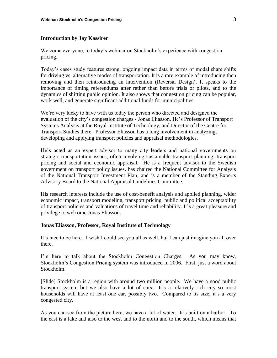#### **Introduction by Jay Kassirer**

Welcome everyone, to today's webinar on Stockholm's experience with congestion pricing.

Today's cases study features strong, ongoing impact data in terms of modal share shifts for driving vs. alternative modes of transportation. It is a rare example of introducing then removing and then reintroducing an intervention (Reversal Design). It speaks to the importance of timing referendums after rather than before trials or pilots, and to the dynamics of shifting public opinion. It also shows that congestion pricing can be popular, work well, and generate significant additional funds for municipalities.

We're very lucky to have with us today the person who directed and designed the evaluation of the city's congestion charges - Jonas Eliasson. He's Professor of Transport Systems Analysis at the Royal Institute of Technology, and Director of the Centre for Transport Studies there. Professor Eliasson has a long involvement in analyzing, developing and applying transport policies and appraisal methodologies.

He's acted as an expert advisor to many city leaders and national governments on strategic transportation issues, often involving sustainable transport planning, transport pricing and social and economic appraisal. He is a frequent advisor to the Swedish government on transport policy issues, has chaired the National Committee for Analysis of the National Transport Investment Plan, and is a member of the Standing Experts Advisory Board to the National Appraisal Guidelines Committee.

His research interests include the use of cost-benefit analysis and applied planning, wider economic impact, transport modeling, transport pricing, public and political acceptability of transport policies and valuations of travel time and reliability. It's a great pleasure and privilege to welcome Jonas Eliasson.

#### **Jonas Eliasson, Professor, Royal Institute of Technology**

It's nice to be here. I wish I could see you all as well, but I can just imagine you all over there.

I'm here to talk about the Stockholm Congestion Charges. As you may know, Stockholm's Congestion Pricing system was introduced in 2006. First, just a word about Stockholm.

[Slide] Stockholm is a region with around two million people. We have a good public transport system but we also have a lot of cars. It's a relatively rich city so most households will have at least one car, possibly two. Compared to its size, it's a very congested city.

As you can see from the picture here, we have a lot of water. It's built on a harbor. To the east is a lake and also to the west and to the north and to the south, which means that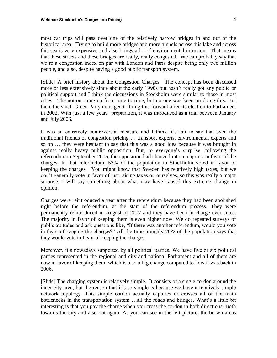most car trips will pass over one of the relatively narrow bridges in and out of the historical area. Trying to build more bridges and more tunnels across this lake and across this sea is very expensive and also brings a lot of environmental intrusion. That means that these streets and these bridges are really, really congested. We can probably say that we're a congestion index on par with London and Paris despite being only two million people, and also, despite having a good public transport system.

[Slide] A brief history about the Congestion Charges. The concept has been discussed more or less extensively since about the early 1990s but hasn't really got any public or political support and I think the discussions in Stockholm were similar to those in most cities. The notion came up from time to time, but no one was keen on doing this. But then, the small Green Party managed to bring this forward after its election to Parliament in 2002. With just a few years' preparation, it was introduced as a trial between January and July 2006.

It was an extremely controversial measure and I think it's fair to say that even the traditional friends of congestion pricing … transport experts, environmental experts and so on … they were hesitant to say that this was a good idea because it was brought in against really heavy public opposition. But, to everyone's surprise, following the referendum in September 2006, the opposition had changed into a majority in favor of the charges. In that referendum, 53% of the population in Stockholm voted in favor of keeping the charges. You might know that Sweden has relatively high taxes, but we don't generally vote in favor of just raising taxes on ourselves, so this was really a major surprise. I will say something about what may have caused this extreme change in opinion.

Charges were reintroduced a year after the referendum because they had been abolished right before the referendum, at the start of the referendum process. They were permanently reintroduced in August of 2007 and they have been in charge ever since. The majority in favor of keeping them is even higher now. We do repeated surveys of public attitudes and ask questions like, "If there was another referendum, would you vote in favor of keeping the charges?" All the time, roughly 70% of the population says that they would vote in favor of keeping the charges.

Moreover, it's nowadays supported by all political parties. We have five or six political parties represented in the regional and city and national Parliament and all of them are now in favor of keeping them, which is also a big change compared to how it was back in 2006.

[Slide] The charging system is relatively simple. It consists of a single cordon around the inner city area, but the reason that it's so simple is because we have a relatively simple network topology. This simple cordon actually captures or crosses all of the main bottlenecks in the transportation system …all the roads and bridges. What's a little bit interesting is that you pay the charge when you cross the cordon in both directions. Both towards the city and also out again. As you can see in the left picture, the brown areas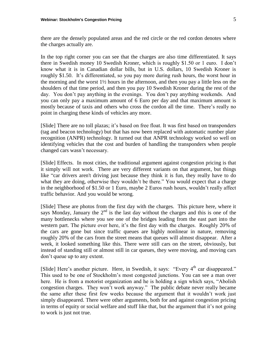there are the densely populated areas and the red circle or the red cordon denotes where the charges actually are.

In the top right corner you can see that the charges are also time differentiated. It says there in Swedish money 10 Swedish Kroner, which is roughly \$1.50 or 1 euro. I don't know what it is in Canadian dollar bills, but in U.S. dollars, 10 Swedish Kroner is roughly \$1.50. It's differentiated, so you pay more during rush hours, the worst hour in the morning and the worst 1½ hours in the afternoon, and then you pay a little less on the shoulders of that time period, and then you pay 10 Swedish Kroner during the rest of the day. You don't pay anything in the evenings. You don't pay anything weekends. And you can only pay a maximum amount of 6 Euro per day and that maximum amount is mostly because of taxis and others who cross the cordon all the time. There's really no point in charging these kinds of vehicles any more.

[Slide] There are no toll plazas; it's based on free float. It was first based on transponders (tag and beacon technology) but that has now been replaced with automatic number plate recognition (ANPR) technology. It turned out that ANPR technology worked so well on identifying vehicles that the cost and burden of handling the transponders when people changed cars wasn't necessary.

[Slide] Effects. In most cities, the traditional argument against congestion pricing is that it simply will not work. There are very different variants on that argument, but things like "car drivers aren't driving just because they think it is fun, they really have to do what they are doing, otherwise they wouldn't be there." You would expect that a charge in the neighborhood of \$1.50 or 1 Euro, maybe 2 Euros rush hours, wouldn't really affect traffic behavior. And you would be wrong.

[Slide] These are photos from the first day with the charges. This picture here, where it says Monday, January the  $2<sup>nd</sup>$  is the last day without the charges and this is one of the many bottlenecks where you see one of the bridges leading from the east part into the western part. The picture over here, it's the first day with the charges. Roughly 20% of the cars are gone but since traffic queues are highly nonlinear in nature, removing roughly 20% of the cars from the street means that queues will almost disappear. After a week, it looked something like this. There were still cars on the street, obviously, but instead of standing still or almost still in car queues, they were moving, and moving cars don't queue up to any extent.

[Slide] Here's another picture. Here, in Swedish, it says: "Every  $4<sup>th</sup>$  car disappeared." This used to be one of Stockholm's most congested junctions. You can see a man over here. He is from a motorist organization and he is holding a sign which says, "Abolish congestion charges. They won't work anyway." The public debate never really became the same after these first few weeks because the argument that it wouldn't work just simply disappeared. There were other arguments, both for and against congestion pricing in terms of equity or social welfare and stuff like that, but the argument that it's not going to work is just not true.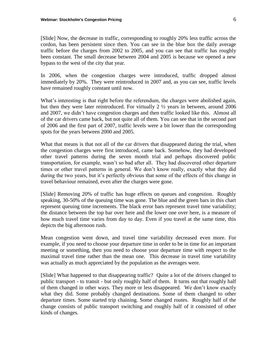[Slide] Now, the decrease in traffic, corresponding to roughly 20% less traffic across the cordon, has been persistent since then. You can see in the blue box the daily average traffic before the charges from 2002 to 2005, and you can see that traffic has roughly been constant. The small decrease between 2004 and 2005 is because we opened a new bypass to the west of the city that year.

In 2006, when the congestion charges were introduced, traffic dropped almost immediately by 20%. They were reintroduced in 2007 and, as you can see, traffic levels have remained roughly constant until now.

What's interesting is that right before the referendum, the charges were abolished again, but then they were later reintroduced. For virtually 2 ½ years in between, around 2006 and 2007, we didn't have congestion charges and then traffic looked like this. Almost all of the car drivers came back, but not quite all of them. You can see that in the second part of 2006 and the first part of 2007, traffic levels were a bit lower than the corresponding spots for the years between 2000 and 2005.

What that means is that not all of the car drivers that disappeared during the trial, when the congestion charges were first introduced, came back. Somehow, they had developed other travel patterns during the seven month trial and perhaps discovered public transportation, for example, wasn't so bad after all. They had discovered other departure times or other travel patterns in general. We don't know really, exactly what they did during the two years, but it's perfectly obvious that some of the effects of this change in travel behaviour remained, even after the charges were gone.

[Slide] Removing 20% of traffic has huge effects on queues and congestion. Roughly speaking, 30-50% of the queuing time was gone. The blue and the green bars in this chart represent queuing time increments. The black error bars represent travel time variability; the distance between the top bar over here and the lower one over here, is a measure of how much travel time varies from day to day. Even if you travel at the same time, this depicts the big afternoon rush.

Mean congestion went down, and travel time variability decreased even more. For example, if you need to choose your departure time in order to be in time for an important meeting or something, then you need to choose your departure time with respect to the maximal travel time rather than the mean one. This decrease in travel time variability was actually as much appreciated by the population as the averages were.

[Slide] What happened to that disappearing traffic? Quite a lot of the drivers changed to public transport - to transit - but only roughly half of them. It turns out that roughly half of them changed in other ways. They more or less disappeared. We don't know exactly what they did. Some probably changed destinations. Some of them changed to other departure times. Some started trip chaining. Some changed routes. Roughly half of the change consists of public transport switching and roughly half of it consisted of other kinds of changes.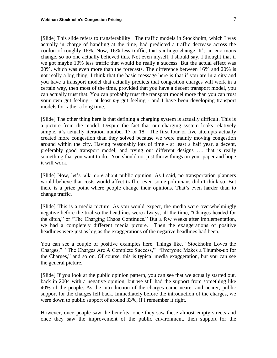[Slide] This slide refers to transferability. The traffic models in Stockholm, which I was actually in charge of handling at the time, had predicted a traffic decrease across the cordon of roughly 16%. Now, 16% less traffic, that's a huge change. It's an enormous change, so no one actually believed this. Not even myself, I should say. I thought that if we got maybe 10% less traffic that would be really a success. But the actual effect was 20%, which was even more than the forecasts. The difference between 16% and 20% is not really a big thing. I think that the basic message here is that if you are in a city and you have a transport model that actually predicts that congestion charges will work in a certain way, then most of the time, provided that you have a decent transport model, you can actually trust that. You can probably trust the transport model more than you can trust your own gut feeling - at least *my* gut feeling - and I have been developing transport models for rather a long time.

[Slide] The other thing here is that defining a charging system is actually difficult. This is a picture from the model. Despite the fact that our charging system looks relatively simple, it's actually iteration number 17 or 18. The first four or five attempts actually created more congestion than they solved because we were mainly moving congestion around within the city. Having reasonably lots of time - at least a half year, a decent, preferably good transport model, and trying out different designs …. that is really something that you want to do. You should not just throw things on your paper and hope it will work.

[Slide] Now, let's talk more about public opinion. As I said, no transportation planners would believe that costs would affect traffic, even some politicians didn't think so. But there is a price point where people change their opinions. That's even harder than to change traffic.

[Slide] This is a media picture. As you would expect, the media were overwhelmingly negative before the trial so the headlines were always, all the time, "Charges headed for the ditch," or "The Charging Chaos Continues." But a few weeks after implementation, we had a completely different media picture. Then the exaggerations of positive headlines were just as big as the exaggerations of the negative headlines had been.

You can see a couple of positive examples here. Things like, "Stockholm Loves the Charges," "The Charges Are A Complete Success," "Everyone Makes a Thumbs-up for the Charges," and so on. Of course, this is typical media exaggeration, but you can see the general picture.

[Slide] If you look at the public opinion pattern, you can see that we actually started out, back in 2004 with a negative opinion, but we still had the support from something like 40% of the people. As the introduction of the charges came nearer and nearer, public support for the charges fell back. Immediately before the introduction of the charges, we were down to public support of around 33%, if I remember it right.

However, once people saw the benefits, once they saw these almost empty streets and once they saw the improvement of the public environment, then support for the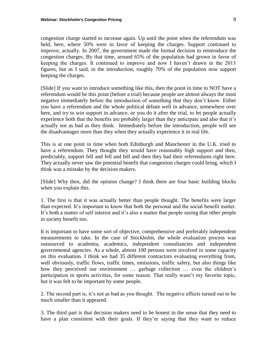congestion charge started to increase again. Up until the point when the referendum was held, here, where 50% were in favor of keeping the charges. Support continued to improve, actually. In 2007, the government made the formal decision to reintroduce the congestion charges. By that time, around 65% of the population had grown in favor of keeping the charges. It continued to improve and now I haven't drawn in the 2013 figures, but as I said, in the introduction, roughly 70% of the population now support keeping the charges.

[Slide] If you want to introduce something like this, then the point in time to NOT have a referendum would be this point (before a trial) because people are almost always the most negative immediately before the introduction of something that they don't know. Either you have a referendum and the whole political debate well in advance, somewhere over here, and try to win support in advance, or you do it after the trial, to let people actually experience both that the benefits are probably larger than they anticipate and also that it's actually not as bad as they think. Immediately before the introduction, people will see the disadvantages more than they when they actually experience it in real life.

This is at one point in time when both Edinburgh and Manchester in the U.K. tried to have a referendum. They thought they would have reasonably high support and then, predictably, support fell and fell and fell and then they had their referendums right here. They actually never saw the potential benefit that congestion charges could bring, which I think was a mistake by the decision makers.

[Slide] Why then, did the opinion change? I think there are four basic building blocks when you explain this.

1. The first is that it was actually better than people thought. The benefits were larger than expected. It's important to know that both the personal and the social benefit matter. It's both a matter of self interest and it's also a matter that people seeing that other people in society benefit too.

It is important to have some sort of objective, comprehensive and preferably independent measurements to take. In the case of Stockholm, the whole evaluation process was outsourced to academia, academics, independent consultancies and independent governmental agencies. As a whole, almost 100 persons were involved in some capacity on this evaluation. I think we had 35 different contractors evaluating everything from, well obviously, traffic flows, traffic times, emissions, traffic safety, but also things like how they perceived our environment … garbage collection … even the children's participation in sports activities, for some reason. That really wasn't my favorite topic, but it was felt to be important by some people.

2. The second part is, it's not as bad as you thought. The negative effects turned out to be much smaller than it appeared.

3. The third part is that decision makers need to be honest in the sense that they need to have a plan consistent with their goals. If they're saying that they want to reduce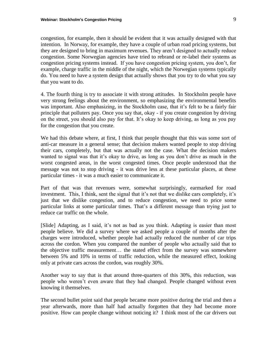congestion, for example, then it should be evident that it was actually designed with that intention. In Norway, for example, they have a couple of urban road pricing systems, but they are designed to bring in maximum revenues. They aren't designed to actually reduce congestion. Some Norwegian agencies have tried to rebrand or re-label their systems as congestion pricing systems instead. If you have congestion pricing system, you don't, for example, charge traffic in the middle of the night, which the Norwegian systems typically do. You need to have a system design that actually shows that you try to do what you say that you want to do.

4. The fourth thing is try to associate it with strong attitudes. In Stockholm people have very strong feelings about the environment, so emphasizing the environmental benefits was important. Also emphasizing, in the Stockholm case, that it's felt to be a fairly fair principle that polluters pay. Once you say that, okay - if you create congestion by driving on the street, you should also pay for that. It's okay to keep driving, as long as you pay for the congestion that you create.

We had this debate where, at first, I think that people thought that this was some sort of anti-car measure in a general sense; that decision makers wanted people to stop driving their cars, completely, but that was actually not the case. What the decision makers wanted to signal was that it's okay to drive, as long as you don't drive as much in the worst congested areas, in the worst congested times. Once people understood that the message was not to stop driving - it was drive less at these particular places, at these particular times - it was a much easier to communicate it.

Part of that was that revenues were, somewhat surprisingly, earmarked for road investment. This, I think, sent the signal that it's not that we dislike cars completely, it's just that we dislike congestion, and to reduce congestion, we need to price some particular links at some particular times. That's a different message than trying just to reduce car traffic on the whole.

[Slide] Adapting, as I said, it's not as bad as you think. Adapting is easier than most people believe. We did a survey where we asked people a couple of months after the charges were introduced, whether people had actually reduced the number of car trips across the cordon. When you compared the number of people who actually said that to the objective traffic measurement… the stated effect from the survey was somewhere between 5% and 10% in terms of traffic reduction, while the measured effect, looking only at private cars across the cordon, was roughly 30%.

Another way to say that is that around three-quarters of this 30%, this reduction, was people who weren't even aware that they had changed. People changed without even knowing it themselves.

The second bullet point said that people became more positive during the trial and then a year afterwards, more than half had actually forgotten that they had become more positive. How can people change without noticing it? I think most of the car drivers out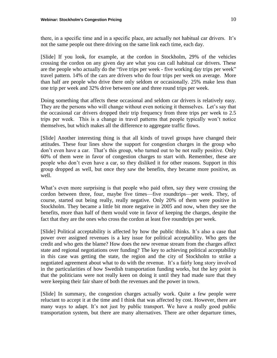there, in a specific time and in a specific place, are actually not habitual car drivers. It's not the same people out there driving on the same link each time, each day.

[Slide] If you look, for example, at the cordon in Stockholm, 29% of the vehicles crossing the cordon on any given day are what you can call habitual car drivers. These are the people who actually do the "five trips per week - five working day trips per week" travel pattern. 14% of the cars are drivers who do four trips per week on average. More than half are people who drive there only seldom or occasionally. 25% make less than one trip per week and 32% drive between one and three round trips per week.

Doing something that affects these occasional and seldom car drivers is relatively easy. They are the persons who will change without even noticing it themselves. Let's say that the occasional car drivers dropped their trip frequency from three trips per week to 2.5 trips per week. This is a change in travel patterns that people typically won't notice themselves, but which makes all the difference to aggregate traffic flows.

[Slide] Another interesting thing is that all kinds of travel groups have changed their attitudes. These four lines show the support for congestion charges in the group who don't even have a car. That's this group, who turned out to be not really positive. Only 60% of them were in favor of congestion charges to start with. Remember, these are people who don't even have a car, so they disliked it for other reasons. Support in this group dropped as well, but once they saw the benefits, they became more positive, as well.

What's even more surprising is that people who paid often, say they were crossing the cordon between three, four, maybe five times—five roundtrips—per week. They, of course, started out being really, really negative. Only 20% of them were positive in Stockholm. They became a little bit more negative in 2005 and now, when they see the benefits, more than half of them would vote in favor of keeping the charges, despite the fact that they are the ones who cross the cordon at least five roundtrips per week.

[Slide] Political acceptability is affected by how the public thinks. It's also a case that power over assigned revenues is a key issue for political acceptability. Who gets the credit and who gets the blame? How does the new revenue stream from the charges affect state and regional negotiations over funding? The key to achieving political acceptability in this case was getting the state, the region and the city of Stockholm to strike a negotiated agreement about what to do with the revenue. It's a fairly long story involved in the particularities of how Swedish transportation funding works, but the key point is that the politicians were not really keen on doing it until they had made sure that they were keeping their fair share of both the revenues and the power in town.

[Slide] In summary, the congestion charges actually work. Quite a few people were reluctant to accept it at the time and I think that was affected by cost. However, there are many ways to adapt. It's not just by public transport. We have a really good public transportation system, but there are many alternatives. There are other departure times,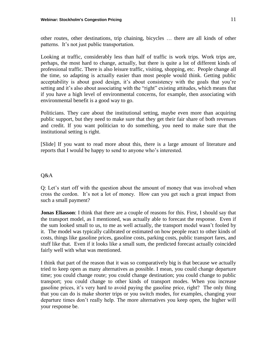other routes, other destinations, trip chaining, bicycles … there are all kinds of other patterns. It's not just public transportation.

Looking at traffic, considerably less than half of traffic is work trips. Work trips are, perhaps, the most hard to change, actually, but there is quite a lot of different kinds of professional traffic. There is also leisure traffic, visiting, shopping, etc. People change all the time, so adapting is actually easier than most people would think. Getting public acceptability is about good design, it's about consistency with the goals that you're setting and it's also about associating with the "right" existing attitudes, which means that if you have a high level of environmental concerns, for example, then associating with environmental benefit is a good way to go.

Politicians. They care about the institutional setting, maybe even more than acquiring public support, but they need to make sure that they get their fair share of both revenues and credit. If you want politician to do something, you need to make sure that the institutional setting is right.

[Slide] If you want to read more about this, there is a large amount of literature and reports that I would be happy to send to anyone who's interested.

#### Q&A

Q: Let's start off with the question about the amount of money that was involved when cross the cordon. It's not a lot of money. How can you get such a great impact from such a small payment?

**Jonas Eliasson**: I think that there are a couple of reasons for this. First, I should say that the transport model, as I mentioned, was actually able to forecast the response. Even if the sum looked small to us, to me as well actually, the transport model wasn't fooled by it. The model was typically calibrated or estimated on how people react to other kinds of costs, things like gasoline prices, gasoline costs, parking costs, public transport fares, and stuff like that. Even if it looks like a small sum, the predicted forecast actually coincided fairly well with what was mentioned.

I think that part of the reason that it was so comparatively big is that because we actually tried to keep open as many alternatives as possible. I mean, you could change departure time; you could change route; you could change destination; you could change to public transport; you could change to other kinds of transport modes. When you increase gasoline prices, it's very hard to avoid paying the gasoline price, right? The only thing that you can do is make shorter trips or you switch modes, for examples, changing your departure times don't really help. The more alternatives you keep open, the higher will your response be.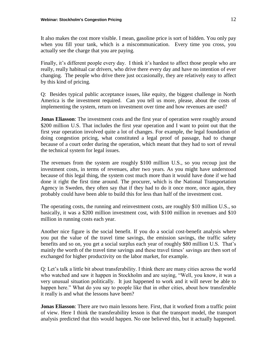It also makes the cost more visible. I mean, gasoline price is sort of hidden. You only pay when you fill your tank, which is a miscommunication. Every time you cross, you actually see the charge that you are paying.

Finally, it's different people every day. I think it's hardest to affect those people who are really, really habitual car drivers, who drive there every day and have no intention of ever changing. The people who drive there just occasionally, they are relatively easy to affect by this kind of pricing.

Q: Besides typical public acceptance issues, like equity, the biggest challenge in North America is the investment required. Can you tell us more, please, about the costs of implementing the system, return on investment over time and how revenues are used?

**Jonas Eliasson**: The investment costs and the first year of operation were roughly around \$200 million U.S. That includes the first year operation and I want to point out that the first year operation involved quite a lot of changes. For example, the legal foundation of doing congestion pricing, what constituted a legal proof of passage, had to change because of a court order during the operation, which meant that they had to sort of reveal the technical system for legal issues.

The revenues from the system are roughly \$100 million U.S., so you recoup just the investment costs, in terms of revenues, after two years. As you might have understood because of this legal thing, the system cost much more than it would have done if we had done it right the first time around. The procurer, which is the National Transportation Agency in Sweden, they often say that if they had to do it once more, once again, they probably could have been able to build this for less than half of the investment cost.

The operating costs, the running and reinvestment costs, are roughly \$10 million U.S., so basically, it was a \$200 million investment cost, with \$100 million in revenues and \$10 million in running costs each year.

Another nice figure is the social benefit. If you do a social cost-benefit analysis where you put the value of the travel time savings, the emission savings, the traffic safety benefits and so on, you get a social surplus each year of roughly \$80 million U.S. That's mainly the worth of the travel time savings and these travel times' savings are then sort of exchanged for higher productivity on the labor market, for example.

Q: Let's talk a little bit about transferability. I think there are many cities across the world who watched and saw it happen in Stockholm and are saying, "Well, you know, it was a very unusual situation politically. It just happened to work and it will never be able to happen here." What do you say to people like that in other cities, about how transferable it really is and what the lessons have been?

**Jonas Eliasson**: There are two main lessons here. First, that it worked from a traffic point of view. Here I think the transferability lesson is that the transport model, the transport analysis predicted that this would happen. No one believed this, but it actually happened.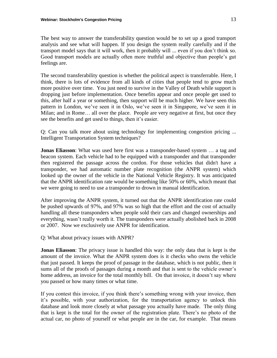The best way to answer the transferability question would be to set up a good transport analysis and see what will happen. If you design the system really carefully and if the transport model says that it will work, then it probably will ... even if you don't think so. Good transport models are actually often more truthful and objective than people's gut feelings are.

The second transferability question is whether the political aspect is transferrable. Here, I think, there is lots of evidence from all kinds of cities that people tend to grow much more positive over time. You just need to survive in the Valley of Death while support is dropping just before implementation. Once benefits appear and once people get used to this, after half a year or something, then support will be much higher. We have seen this pattern in London, we've seen it in Oslo, we've seen it in Singapore, we've seen it in Milan; and in Rome… all over the place. People are very negative at first, but once they see the benefits and get used to things, then it's easier.

Q: Can you talk more about using technology for implementing congestion pricing ... Intelligent Transportation System techniques?

**Jonas Eliasson**: What was used here first was a transponder-based system … a tag and beacon system. Each vehicle had to be equipped with a transponder and that transponder then registered the passage across the cordon. For those vehicles that didn't have a transponder, we had automatic number plate recognition (the ANPR system) which looked up the owner of the vehicle in the National Vehicle Registry. It was anticipated that the ANPR identification rate would be something like 50% or 60%, which meant that we were going to need to use a transponder to drown in manual identification.

After improving the ANPR system, it turned out that the ANPR identification rate could be pushed upwards of 97%, and 97% was so high that the effort and the cost of actually handling all these transponders when people sold their cars and changed ownerships and everything, wasn't really worth it. The transponders were actually abolished back in 2008 or 2007. Now we exclusively use ANPR for identification.

Q: What about privacy issues with ANPR?

**Jonas Eliasson**: The privacy issue is handled this way: the only data that is kept is the amount of the invoice. What the ANPR system does is it checks who owns the vehicle that just passed. It keeps the proof of passage in the database, which is not public, then it sums all of the proofs of passages during a month and that is sent to the vehicle owner's home address, an invoice for the total monthly bill. On that invoice, it doesn't say where you passed or how many times or what time.

If you contest this invoice, if you think there's something wrong with your invoice, then it's possible, with your authorization, for the transportation agency to unlock this database and look more closely at what passage you actually have made. The only thing that is kept is the total for the owner of the registration plate. There's no photo of the actual car, no photo of yourself or what people are in the car, for example. That means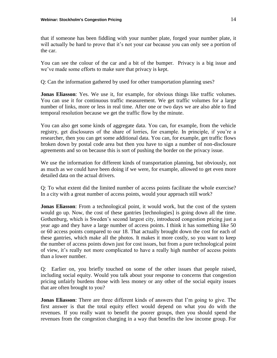that if someone has been fiddling with your number plate, forged your number plate, it will actually be hard to prove that it's not your car because you can only see a portion of the car.

You can see the colour of the car and a bit of the bumper. Privacy is a big issue and we've made some efforts to make sure that privacy is kept.

Q: Can the information gathered by used for other transportation planning uses?

**Jonas Eliasson**: Yes. We use it, for example, for obvious things like traffic volumes. You can use it for continuous traffic measurement. We get traffic volumes for a large number of links, more or less in real time. After one or two days we are also able to find temporal resolution because we get the traffic flow by the minute.

You can also get some kinds of aggregate data. You can, for example, from the vehicle registry, get disclosures of the share of lorries, for example. In principle, if you're a researcher, then you can get some additional data. You can, for example, get traffic flows broken down by postal code area but then you have to sign a number of non-disclosure agreements and so on because this is sort of pushing the border on the privacy issue.

We use the information for different kinds of transportation planning, but obviously, not as much as we could have been doing if we were, for example, allowed to get even more detailed data on the actual drivers.

Q: To what extent did the limited number of access points facilitate the whole exercise? In a city with a great number of access points, would your approach still work?

**Jonas Eliasson**: From a technological point, it would work, but the cost of the system would go up. Now, the cost of these gantries [technologies] is going down all the time. Gothenburg, which is Sweden's second largest city, introduced congestion pricing just a year ago and they have a large number of access points. I think it has something like 50 or 60 access points compared to our 18. That actually brought down the cost for each of these gantries, which make all the photos. It makes it more costly, so you want to keep the number of access points down just for cost issues, but from a pure technological point of view, it's really not more complicated to have a really high number of access points than a lower number.

Q: Earlier on, you briefly touched on some of the other issues that people raised, including social equity. Would you talk about your response to concerns that congestion pricing unfairly burdens those with less money or any other of the social equity issues that are often brought to you?

**Jonas Eliasson**: There are three different kinds of answers that I'm going to give. The first answer is that the total equity effect would depend on what you do with the revenues. If you really want to benefit the poorer groups, then you should spend the revenues from the congestion charging in a way that benefits the low income group. For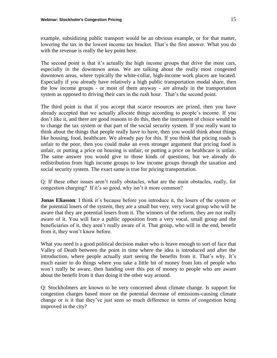example, subsidizing public transport would be an obvious example, or for that matter, lowering the tax in the lowest income tax bracket. That's the first answer. What you do with the revenue is really the key point here.

The second point is that it's actually the high income groups that drive the most cars, especially in the downtown areas. We are talking about the really most congested downtown areas, where typically the white-collar, high-income work places are located. Especially if you already have relatively a high public transportation modal share, then the low income groups - or most of them anyway - are already in the transportation system as opposed to driving their cars in the rush hour. That's the second point.

The third point is that if you accept that scarce resources are prized, then you have already accepted that we actually allocate things according to people's income. If you don't like it, and there are good reasons to do this, then the instrument of choice would be to change the tax system or that part of the social security system. If you really want to think about the things that people really have to have, then you would think about things like housing, food, healthcare. We already pay for this. If you think that pricing roads is unfair to the poor, then you could make an even stronger argument that pricing food is unfair, or putting a price on housing is unfair, or putting a price on healthcare is unfair. The same answer you would give to those kinds of questions, but we already do redistribution from high income groups to low income groups through the taxation and social security system. The exact same is true for pricing transportation.

Q: If these other issues aren't really obstacles, what are the main obstacles, really, for congestion charging? If it's so good, why isn't it more common?

**Jonas Eliasson**: I think it's because before you introduce it, the losers of the system or the potential losers of the system, they are a small but very, very vocal group who will be aware that they are potential losers from it. The winners of the reform, they are not really aware of it. You will face a public opposition from a very vocal, small group and the beneficiaries of it, they aren't really aware of it. That group, who will in the end, benefit from it, they won't know before.

What you need is a good political decision maker who is brave enough to sort of face that Valley of Death between the point in time where the idea is introduced and after the introduction, where people actually start seeing the benefits from it. That's why. It's much easier to do things where you take a little bit of money from lots of people who won't really be aware, then handing over this pot of money to people who are aware about the benefit from it than doing it the other way around.

Q: Stockholmers are known to be very concerned about climate change. Is support for congestion charges based more on the potential decrease of emissions-causing climate change or is it that they've just seen so much difference in terms of congestion being improved in the city?